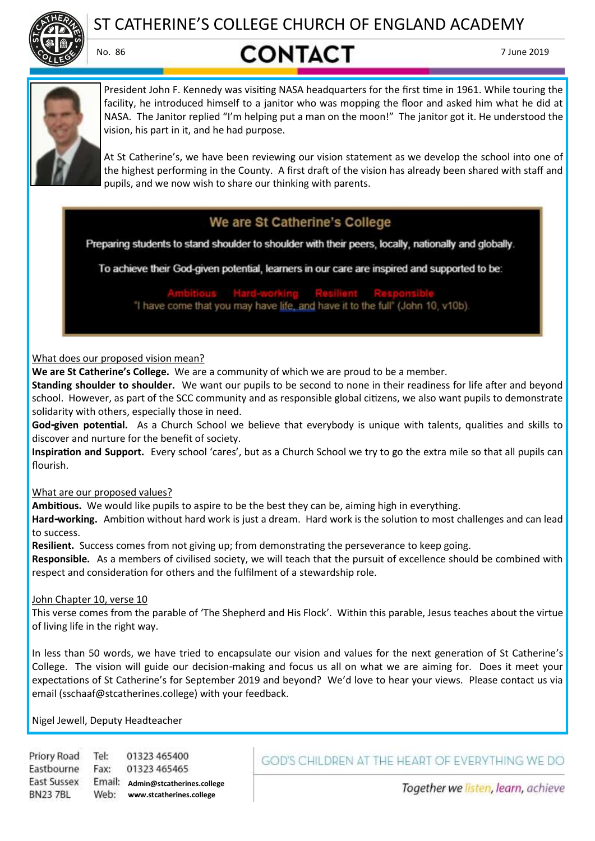

ST CATHERINE'S COLLEGE CHURCH OF ENGLAND ACADEMY

# No. 86 **CONTACT** 7 June 2019



President John F. Kennedy was visiting NASA headquarters for the first time in 1961. While touring the facility, he introduced himself to a janitor who was mopping the floor and asked him what he did at NASA. The Janitor replied "I'm helping put a man on the moon!" The janitor got it. He understood the vision, his part in it, and he had purpose.

At St Catherine's, we have been reviewing our vision statement as we develop the school into one of the highest performing in the County. A first draft of the vision has already been shared with staff and pupils, and we now wish to share our thinking with parents.

# We are St Catherine's College

Preparing students to stand shoulder to shoulder with their peers, locally, nationally and globally.

To achieve their God-given potential, learners in our care are inspired and supported to be:

"I have come that you may have life, and have it to the full" (John 10, v10b).

### What does our proposed vision mean?

**We are St Catherine's College.** We are a community of which we are proud to be a member.

**Standing shoulder to shoulder.** We want our pupils to be second to none in their readiness for life after and beyond school. However, as part of the SCC community and as responsible global citizens, we also want pupils to demonstrate solidarity with others, especially those in need.

**God-given potential.** As a Church School we believe that everybody is unique with talents, qualities and skills to discover and nurture for the benefit of society.

**Inspiration and Support.** Every school 'cares', but as a Church School we try to go the extra mile so that all pupils can flourish.

What are our proposed values?

**Ambitious.** We would like pupils to aspire to be the best they can be, aiming high in everything.

**Hard-working.** Ambition without hard work is just a dream. Hard work is the solution to most challenges and can lead to success.

**Resilient.** Success comes from not giving up; from demonstrating the perseverance to keep going.

**Responsible.** As a members of civilised society, we will teach that the pursuit of excellence should be combined with respect and consideration for others and the fulfilment of a stewardship role.

## John Chapter 10, verse 10

This verse comes from the parable of 'The Shepherd and His Flock'. Within this parable, Jesus teaches about the virtue of living life in the right way.

In less than 50 words, we have tried to encapsulate our vision and values for the next generation of St Catherine's College. The vision will guide our decision-making and focus us all on what we are aiming for. Does it meet your expectations of St Catherine's for September 2019 and beyond? We'd love to hear your views. Please contact us via email (sschaaf@stcatherines.college) with your feedback.

Nigel Jewell, Deputy Headteacher

Priory Road Tel: 01323 465400 Eastbourne Fax: 01323 465465 **East Sussex Admin@stcatherines.college www.stcatherines.college BN237BL** 

# GOD'S CHILDREN AT THE HEART OF EVERYTHING WE DO

Together we listen, learn, achieve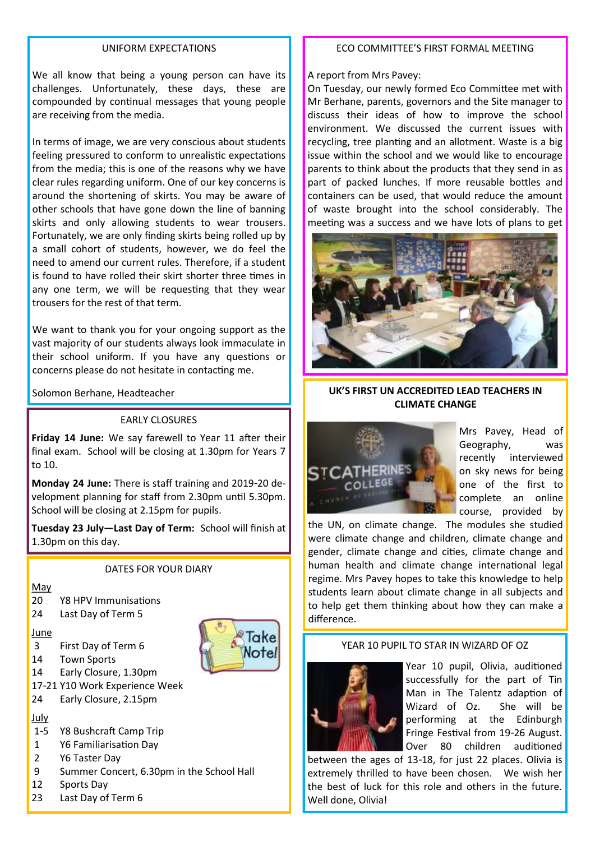#### UNIFORM EXPECTATIONS

We all know that being a young person can have its challenges. Unfortunately, these days, these are compounded by continual messages that young people are receiving from the media.

In terms of image, we are very conscious about students feeling pressured to conform to unrealistic expectations from the media; this is one of the reasons why we have clear rules regarding uniform. One of our key concerns is around the shortening of skirts. You may be aware of other schools that have gone down the line of banning skirts and only allowing students to wear trousers. Fortunately, we are only finding skirts being rolled up by a small cohort of students, however, we do feel the need to amend our current rules. Therefore, if a student is found to have rolled their skirt shorter three times in any one term, we will be requesting that they wear trousers for the rest of that term.

We want to thank you for your ongoing support as the vast majority of our students always look immaculate in their school uniform. If you have any questions or concerns please do not hesitate in contacting me.

#### EARLY CLOSURES

**Friday 14 June:** We say farewell to Year 11 after their final exam. School will be closing at 1.30pm for Years 7 to 10.

**Monday 24 June:** There is staff training and 2019-20 development planning for staff from 2.30pm until 5.30pm. School will be closing at 2.15pm for pupils.

**Tuesday 23 July—Last Day of Term:** School will finish at 1.30pm on this day.

DATES FOR YOUR DIARY

May

- 20 Y8 HPV Immunisations
- 24 Last Day of Term 5

June

- 3 First Day of Term 6
- 14 Town Sports
- 14 Early Closure, 1.30pm
- 17-21 Y10 Work Experience Week
- 24 Early Closure, 2.15pm

#### July

- 1-5 Y8 Bushcraft Camp Trip
- 1 Y6 Familiarisation Day
- 2 Y6 Taster Day
- 9 Summer Concert, 6.30pm in the School Hall
- 12 Sports Day
- 23 Last Day of Term 6

#### ECO COMMITTEE'S FIRST FORMAL MEETING

A report from Mrs Pavey:

On Tuesday, our newly formed Eco Committee met with Mr Berhane, parents, governors and the Site manager to discuss their ideas of how to improve the school environment. We discussed the current issues with recycling, tree planting and an allotment. Waste is a big issue within the school and we would like to encourage parents to think about the products that they send in as part of packed lunches. If more reusable bottles and containers can be used, that would reduce the amount of waste brought into the school considerably. The meeting was a success and we have lots of plans to get



## Solomon Berhane, Headteacher **UK'S FIRST UN ACCREDITED LEAD TEACHERS IN CLIMATE CHANGE**



Mrs Pavey, Head of Geography, was recently interviewed on sky news for being one of the first to complete an online course, provided by

the UN, on climate change. The modules she studied were climate change and children, climate change and gender, climate change and cities, climate change and human health and climate change international legal regime. Mrs Pavey hopes to take this knowledge to help students learn about climate change in all subjects and to help get them thinking about how they can make a difference.

#### YEAR 10 PUPIL TO STAR IN WIZARD OF OZ



Take lote

> Year 10 pupil, Olivia, auditioned successfully for the part of Tin Man in The Talentz adaption of Wizard of Oz. She will be performing at the Edinburgh Fringe Festival from 19-26 August. Over 80 children auditioned

between the ages of 13-18, for just 22 places. Olivia is extremely thrilled to have been chosen. We wish her the best of luck for this role and others in the future. Well done, Olivia!